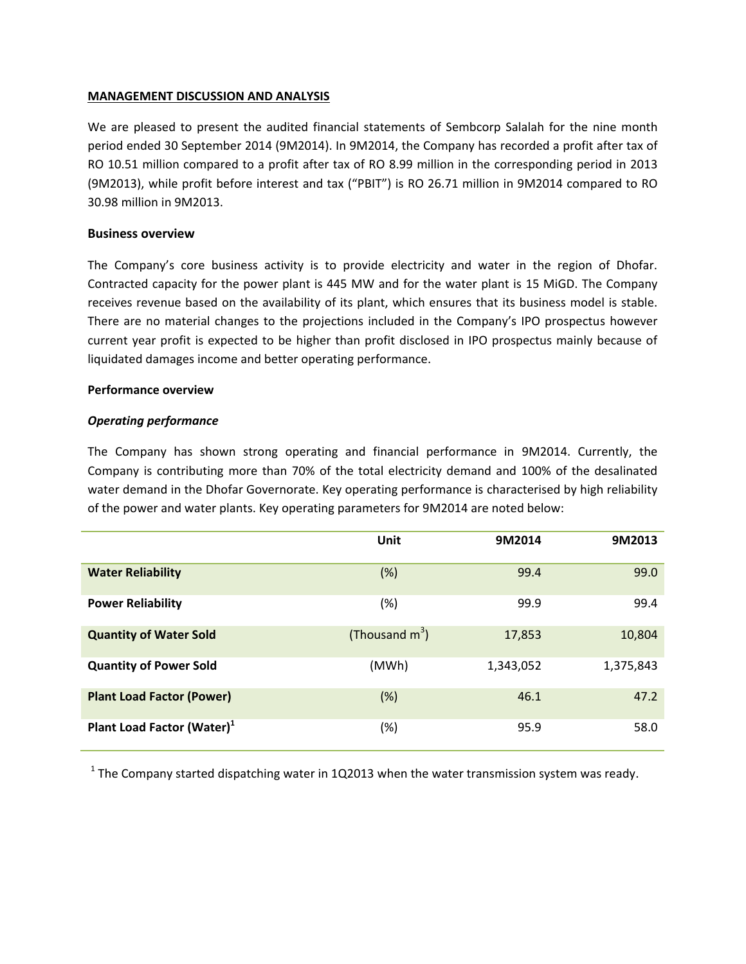## **MANAGEMENT DISCUSSION AND ANALYSIS**

We are pleased to present the audited financial statements of Sembcorp Salalah for the nine month period ended 30 September 2014 (9M2014). In 9M2014, the Company has recorded a profit after tax of RO 10.51 million compared to a profit after tax of RO 8.99 million in the corresponding period in 2013 (9M2013), while profit before interest and tax ("PBIT") is RO 26.71 million in 9M2014 compared to RO 30.98 million in 9M2013.

## **Business overview**

The Company's core business activity is to provide electricity and water in the region of Dhofar. Contracted capacity for the power plant is 445 MW and for the water plant is 15 MiGD. The Company receives revenue based on the availability of its plant, which ensures that its business model is stable. There are no material changes to the projections included in the Company's IPO prospectus however current year profit is expected to be higher than profit disclosed in IPO prospectus mainly because of liquidated damages income and better operating performance.

#### **Performance overview**

### *Operating performance*

The Company has shown strong operating and financial performance in 9M2014. Currently, the Company is contributing more than 70% of the total electricity demand and 100% of the desalinated water demand in the Dhofar Governorate. Key operating performance is characterised by high reliability of the power and water plants. Key operating parameters for 9M2014 are noted below:

|                                        | Unit              | 9M2014    | 9M2013    |
|----------------------------------------|-------------------|-----------|-----------|
| <b>Water Reliability</b>               | (%)               | 99.4      | 99.0      |
| <b>Power Reliability</b>               | (%)               | 99.9      | 99.4      |
| <b>Quantity of Water Sold</b>          | (Thousand $m^3$ ) | 17,853    | 10,804    |
| <b>Quantity of Power Sold</b>          | (MWh)             | 1,343,052 | 1,375,843 |
| <b>Plant Load Factor (Power)</b>       | (%)               | 46.1      | 47.2      |
| Plant Load Factor (Water) <sup>1</sup> | (%)               | 95.9      | 58.0      |

<sup>1</sup> The Company started dispatching water in 1Q2013 when the water transmission system was ready.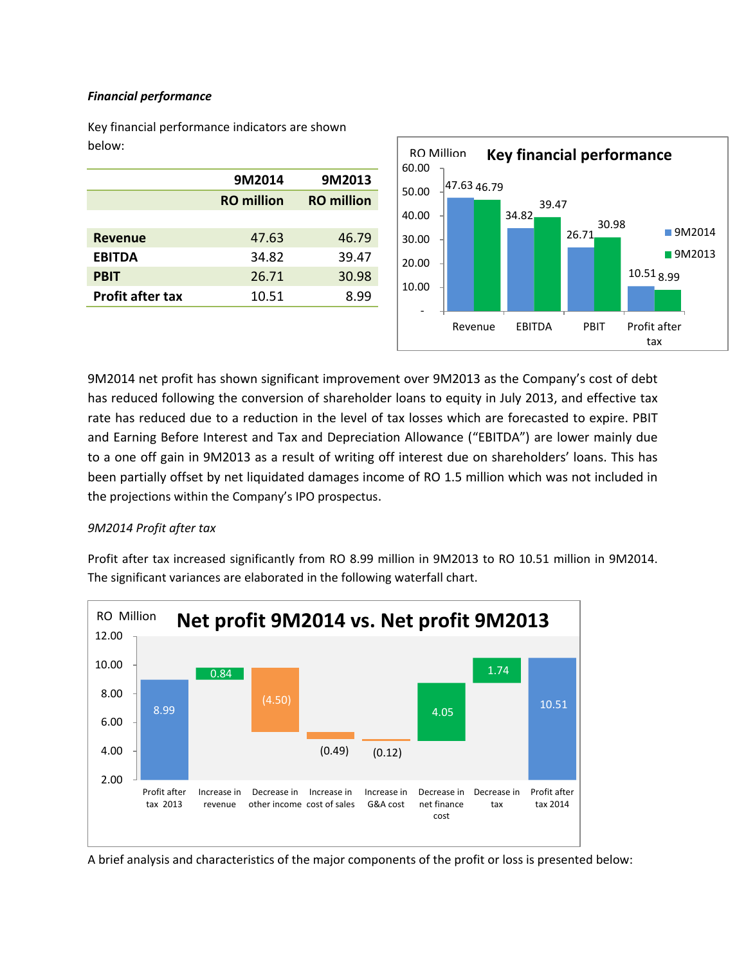## *Financial performance*

Key financial performance indicators are shown below:

|                         | 9M2014            | 9M2013            |
|-------------------------|-------------------|-------------------|
|                         | <b>RO</b> million | <b>RO</b> million |
|                         |                   |                   |
| <b>Revenue</b>          | 47.63             | 46.79             |
| <b>EBITDA</b>           | 34.82             | 39.47             |
| <b>PBIT</b>             | 26.71             | 30.98             |
| <b>Profit after tax</b> | 10.51             | 8.99              |
|                         |                   |                   |



9M2014 net profit has shown significant improvement over 9M2013 as the Company's cost of debt has reduced following the conversion of shareholder loans to equity in July 2013, and effective tax rate has reduced due to a reduction in the level of tax losses which are forecasted to expire. PBIT and Earning Before Interest and Tax and Depreciation Allowance ("EBITDA") are lower mainly due to a one off gain in 9M2013 as a result of writing off interest due on shareholders' loans. This has been partially offset by net liquidated damages income of RO 1.5 million which was not included in the projections within the Company's IPO prospectus.

## *9M2014 Profit after tax*

Profit after tax increased significantly from RO 8.99 million in 9M2013 to RO 10.51 million in 9M2014. The significant variances are elaborated in the following waterfall chart.



A brief analysis and characteristics of the major components of the profit or loss is presented below: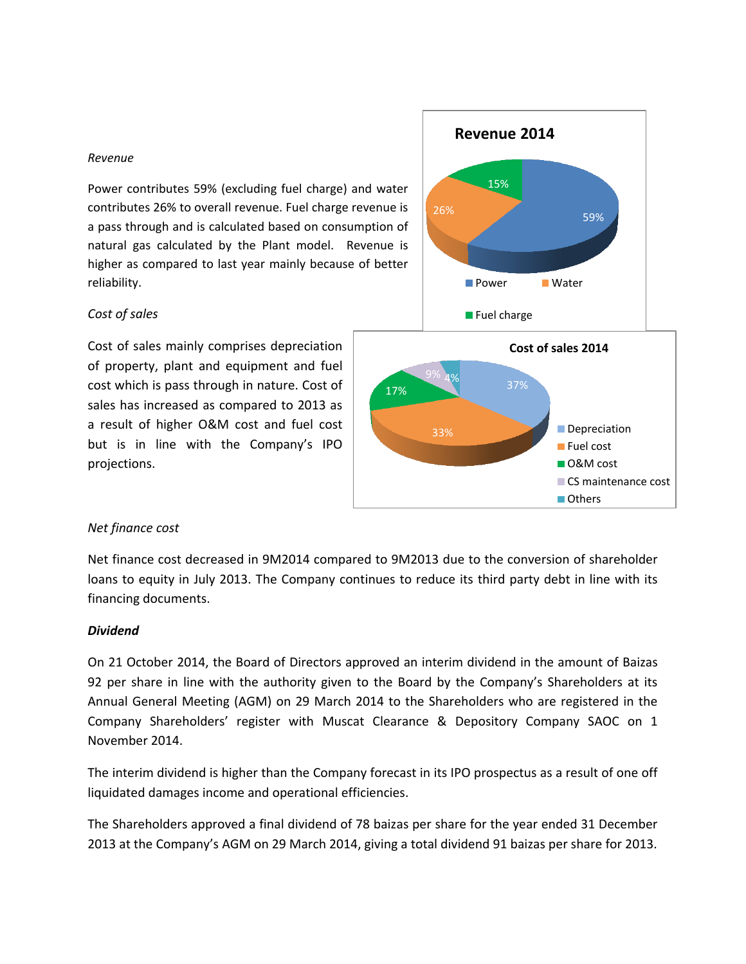#### *Revenue*

Power contributes 59% (excluding fuel charge) and water contributes 26% to overall revenue. Fuel charge revenue is a pass through and is calculated based on consumption of natural gas calculated by the Plant model. Revenue is higher as compared to last year mainly because of better reliability.

#### *Cost of sales*

Cost of sales mainly comprises depreciation of property, plant and equipment and fuel cost which is pass through in nature. Cost of sales has increased as compared to 2013 as a result of higher O&M cost and fuel cost but is in line with the Company's IPO projections.





#### *Net finance cost*

Net finance cost decreased in 9M2014 compared to 9M2013 due to the conversion of shareholder loans to equity in July 2013. The Company continues to reduce its third party debt in line with its financing documents.

#### *Dividend*

On 21 October 2014, the Board of Directors approved an interim dividend in the amount of Baizas 92 per share in line with the authority given to the Board by the Company's Shareholders at its Annual General Meeting (AGM) on 29 March 2014 to the Shareholders who are registered in the Company Shareholders' register with Muscat Clearance & Depository Company SAOC on 1 November 2014.

The interim dividend is higher than the Company forecast in its IPO prospectus as a result of one off liquidated damages income and operational efficiencies.

The Shareholders approved a final dividend of 78 baizas per share for the year ended 31 December 2013 at the Company's AGM on 29 March 2014, giving a total dividend 91 baizas per share for 2013.